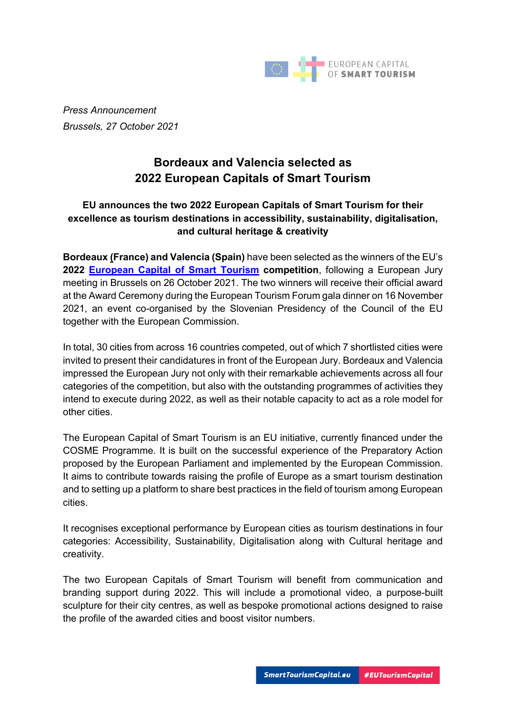

*Press Announcement Brussels, 27 October 2021*

# **Bordeaux and Valencia selected as 2022 European Capitals of Smart Tourism**

# **EU announces the two 2022 European Capitals of Smart Tourism for their excellence as tourism destinations in accessibility, sustainability, digitalisation, and cultural heritage & creativity**

**Bordeaux (France) and Valencia (Spain)** have been selected as the winners of the EU's **2022 European Capital of Smart Tourism competition**, following a European Jury meeting in Brussels on 26 October 2021. The two winners will receive their official award at the Award Ceremony during the European Tourism Forum gala dinner on 16 November 2021, an event co-organised by the Slovenian Presidency of the Council of the EU together with the European Commission.

In total, 30 cities from across 16 countries competed, out of which 7 shortlisted cities were invited to present their candidatures in front of the European Jury. Bordeaux and Valencia impressed the European Jury not only with their remarkable achievements across all four categories of the competition, but also with the outstanding programmes of activities they intend to execute during 2022, as well as their notable capacity to act as a role model for other cities.

The European Capital of Smart Tourism is an EU initiative, currently financed under the COSME Programme. It is built on the successful experience of the Preparatory Action proposed by the European Parliament and implemented by the European Commission. It aims to contribute towards raising the profile of Europe as a smart tourism destination and to setting up a platform to share best practices in the field of tourism among European cities.

It recognises exceptional performance by European cities as tourism destinations in four categories: Accessibility, Sustainability, Digitalisation along with Cultural heritage and creativity.

The two European Capitals of Smart Tourism will benefit from communication and branding support during 2022. This will include a promotional video, a purpose-built sculpture for their city centres, as well as bespoke promotional actions designed to raise the profile of the awarded cities and boost visitor numbers.